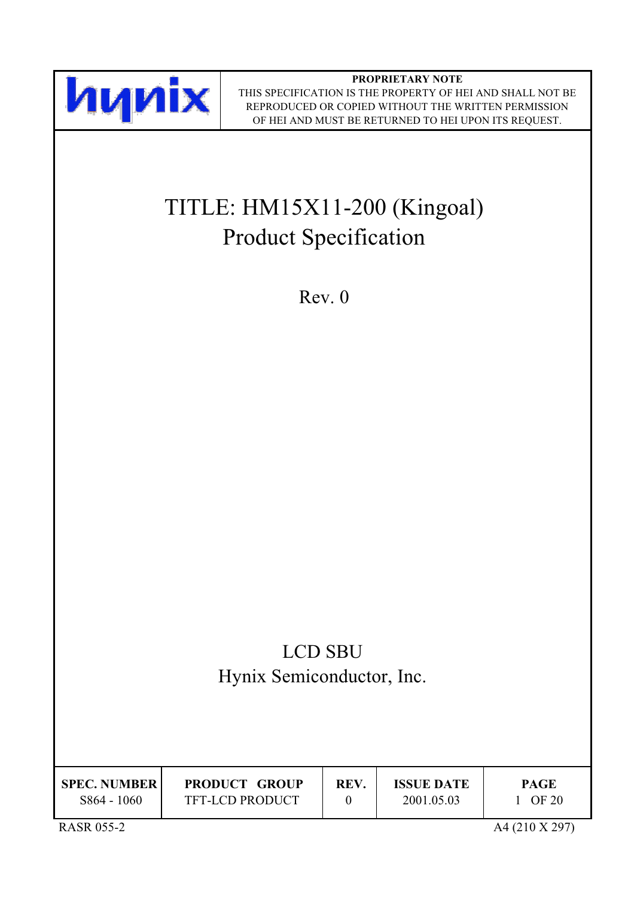

**PROPRIETARY NOTE** THIS SPECIFICATION IS THE PROPERTY OF HEI AND SHALL NOT BE REPRODUCED OR COPIED WITHOUT THE WRITTEN PERMISSION OF HEI AND MUST BE RETURNED TO HEI UPON ITS REQUEST.

# TITLE: HM15X11-200 (Kingoal) **Product Specification**

 $Rev. 0$ 

# **LCD SBU** Hynix Semiconductor, Inc.

| <b>SPEC. NUMBER</b> | <b>PRODUCT GROUP</b> | REV. | <b>ISSUE DATE</b> | <b>PAGE</b> |
|---------------------|----------------------|------|-------------------|-------------|
| S864 - 1060         | TFT-LCD PRODUCT      |      | 2001.05.03        | OF 20       |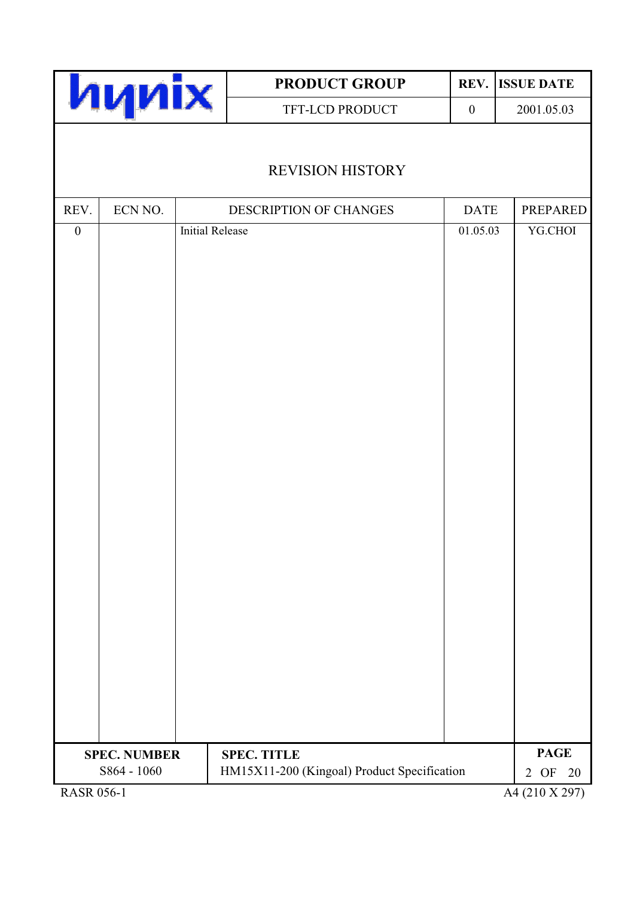|                             |                     |                        | <b>PRODUCT GROUP</b>                        | REV.             | <b>ISSUE DATE</b>                      |
|-----------------------------|---------------------|------------------------|---------------------------------------------|------------------|----------------------------------------|
|                             | <b>hynix</b>        |                        | TFT-LCD PRODUCT                             | $\boldsymbol{0}$ | 2001.05.03                             |
|                             |                     |                        | <b>REVISION HISTORY</b>                     |                  |                                        |
| REV.                        | ECN NO.             |                        | DESCRIPTION OF CHANGES                      | <b>DATE</b>      | <b>PREPARED</b>                        |
| $\boldsymbol{0}$            |                     | <b>Initial Release</b> |                                             | 01.05.03         | YG.CHOI                                |
|                             | <b>SPEC. NUMBER</b> |                        | <b>SPEC. TITLE</b>                          |                  | <b>PAGE</b>                            |
| $D$ $\triangle$ CD $0.56$ 1 | S864 - 1060         |                        | HM15X11-200 (Kingoal) Product Specification |                  | 2 OF<br>20<br>$AA(210 \text{ V } 207)$ |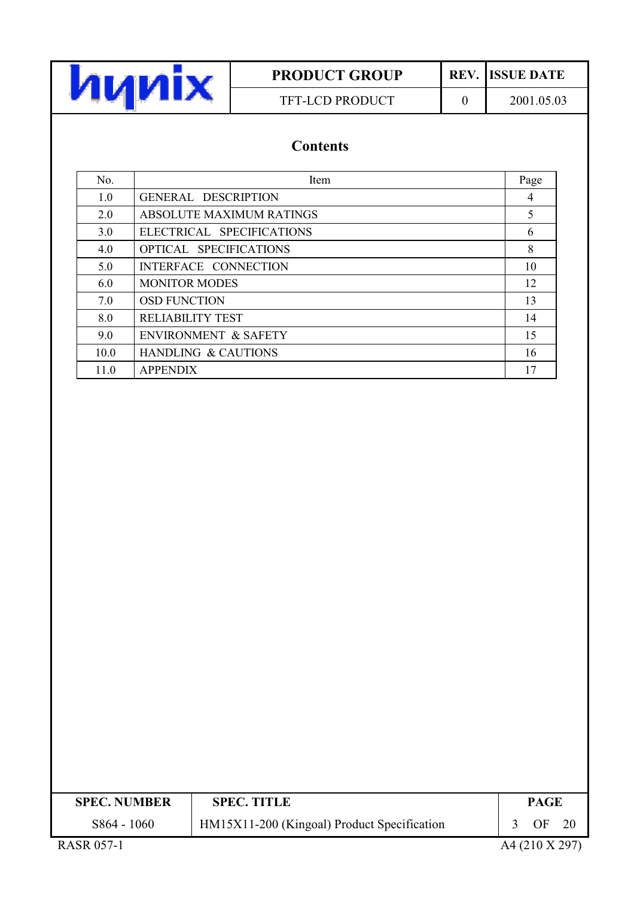

# **PRODUCT GROUP** TFT-LCD PRODUCT

**REV.** ISSUE DATE

 $\overline{0}$ 

2001.05.03

# **Contents**

| No.  | Item                            | Page |
|------|---------------------------------|------|
| 1.0  | <b>GENERAL DESCRIPTION</b>      | 4    |
| 2.0  | ABSOLUTE MAXIMUM RATINGS        | 5    |
| 3.0  | ELECTRICAL SPECIFICATIONS       | 6    |
| 4.0  | OPTICAL SPECIFICATIONS          | 8    |
| 5.0  | INTERFACE CONNECTION            | 10   |
| 6.0  | <b>MONITOR MODES</b>            | 12   |
| 7.0  | <b>OSD FUNCTION</b>             | 13   |
| 8.0  | <b>RELIABILITY TEST</b>         | 14   |
| 9.0  | <b>ENVIRONMENT &amp; SAFETY</b> | 15   |
| 10.0 | <b>HANDLING &amp; CAUTIONS</b>  | 16   |
| 11.0 | <b>APPENDIX</b>                 | 17   |

| <b>SPEC. NUMBER</b>                                                                                                                                                                                                                                                                                          | <b>SPEC. TITLE</b>                          | <b>PAGE</b>     |  |
|--------------------------------------------------------------------------------------------------------------------------------------------------------------------------------------------------------------------------------------------------------------------------------------------------------------|---------------------------------------------|-----------------|--|
| S864 - 1060                                                                                                                                                                                                                                                                                                  | HM15X11-200 (Kingoal) Product Specification | $\overline{OF}$ |  |
| $P_{\rm A}$ $\cap$ $P_{\rm A}$ $\cap$ $P_{\rm A}$ $\cap$ $P_{\rm A}$ $\cap$ $P_{\rm A}$ $\cap$ $P_{\rm A}$ $\cap$ $P_{\rm A}$ $\cap$ $P_{\rm A}$ $\cap$ $P_{\rm A}$ $\cap$ $P_{\rm A}$ $\cap$ $P_{\rm A}$ $\cap$ $P_{\rm A}$ $\cap$ $P_{\rm A}$ $\cap$ $P_{\rm A}$ $\cap$ $P_{\rm A}$ $\cap$ $P_{\rm A}$ $\$ |                                             |                 |  |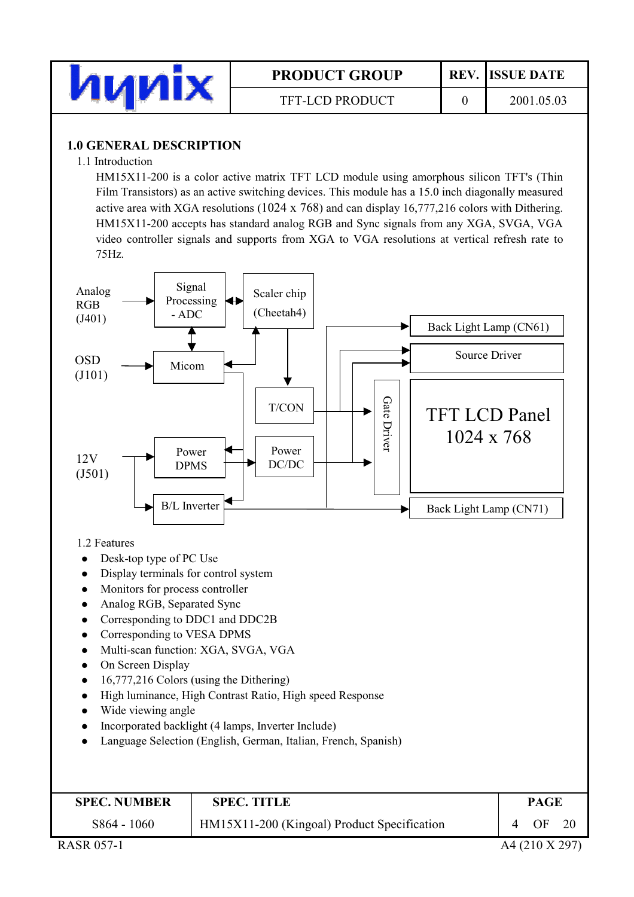

 $\overline{0}$ 

### **1.0 GENERAL DESCRIPTION**

#### 1.1 Introduction

HM15X11-200 is a color active matrix TFT LCD module using amorphous silicon TFT's (Thin Film Transistors) as an active switching devices. This module has a 15.0 inch diagonally measured active area with XGA resolutions (1024 x 768) and can display  $16,777,216$  colors with Dithering. HM15X11-200 accepts has standard analog RGB and Sync signals from any XGA, SVGA, VGA video controller signals and supports from XGA to VGA resolutions at vertical refresh rate to 75Hz.



1.2 Features

- Desk-top type of PC Use  $\bullet$
- Display terminals for control system
- Monitors for process controller
- Analog RGB, Separated Sync  $\bullet$
- Corresponding to DDC1 and DDC2B  $\bullet$
- Corresponding to VESA DPMS  $\bullet$
- Multi-scan function: XGA, SVGA, VGA  $\bullet$
- On Screen Display  $\bullet$
- 16,777,216 Colors (using the Dithering)  $\bullet$
- High luminance, High Contrast Ratio, High speed Response  $\bullet$
- Wide viewing angle
- Incorporated backlight (4 lamps, Inverter Include)
- Language Selection (English, German, Italian, French, Spanish)

| <b>SPEC. NUMBER</b> | <b>SPEC. TITLE</b>                          | <b>PAGE</b> |
|---------------------|---------------------------------------------|-------------|
| S864 - 1060         | HM15X11-200 (Kingoal) Product Specification | -20<br>OF   |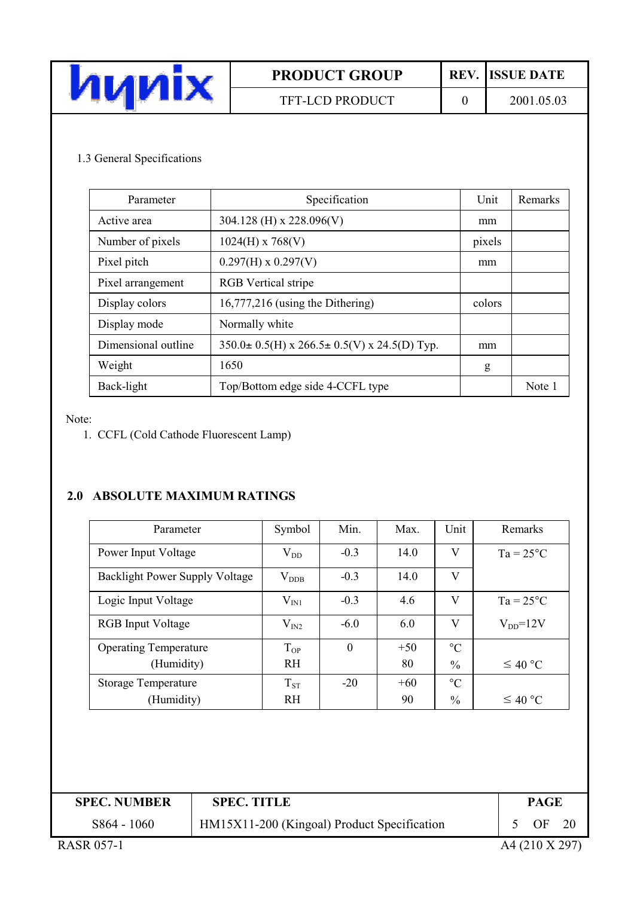| VИI.<br>ИИ |  |
|------------|--|

### TFT-LCD PRODUCT

**REV.** ISSUE DATE

 $\overline{0}$ 

### 1.3 General Specifications

| Parameter           | Specification                                               | Unit   | Remarks |
|---------------------|-------------------------------------------------------------|--------|---------|
| Active area         | 304.128 (H) x 228.096(V)                                    | mm     |         |
| Number of pixels    | $1024(H)$ x 768(V)                                          | pixels |         |
| Pixel pitch         | $0.297(H) \times 0.297(V)$                                  | mm     |         |
| Pixel arrangement   | <b>RGB</b> Vertical stripe                                  |        |         |
| Display colors      | $16,777,216$ (using the Dithering)                          | colors |         |
| Display mode        | Normally white                                              |        |         |
| Dimensional outline | $350.0 \pm 0.5$ (H) x $266.5 \pm 0.5$ (V) x $24.5$ (D) Typ. | mm     |         |
| Weight              | 1650                                                        | g      |         |
| Back-light          | Top/Bottom edge side 4-CCFL type                            |        | Note 1  |

Note:

1. CCFL (Cold Cathode Fluorescent Lamp)

# 2.0 ABSOLUTE MAXIMUM RATINGS

| Parameter                             | Symbol            | Min.     | Max.  | Unit            | Remarks            |
|---------------------------------------|-------------------|----------|-------|-----------------|--------------------|
| Power Input Voltage                   | $V_{DD}$          | $-0.3$   | 14.0  | V               | $Ta = 25^{\circ}C$ |
| <b>Backlight Power Supply Voltage</b> | $V_{DDB}$         | $-0.3$   | 14.0  | V               |                    |
| Logic Input Voltage                   | $\rm V_{\rm IN1}$ | $-0.3$   | 4.6   | V               | $Ta = 25^{\circ}C$ |
| <b>RGB</b> Input Voltage              | $\rm V_{IN2}$     | $-6.0$   | 6.0   | V               | $V_{DD} = 12V$     |
| <b>Operating Temperature</b>          | $T_{OP}$          | $\theta$ | $+50$ | $\rm ^{\circ}C$ |                    |
| (Humidity)                            | <b>RH</b>         |          | 80    | $\frac{0}{0}$   | $\leq 40$ °C       |
| <b>Storage Temperature</b>            | $T_{ST}$          | $-20$    | $+60$ | $^{\circ}C$     |                    |
| (Humidity)                            | <b>RH</b>         |          | 90    | $\frac{0}{0}$   | $\leq 40$ °C       |

| <b>SPEC. NUMBER</b> | <b>SPEC. TITLE</b>                          | <b>PAGE</b> |      |
|---------------------|---------------------------------------------|-------------|------|
| S864 - 1060         | HM15X11-200 (Kingoal) Product Specification | OF          | - 20 |
|                     |                                             |             |      |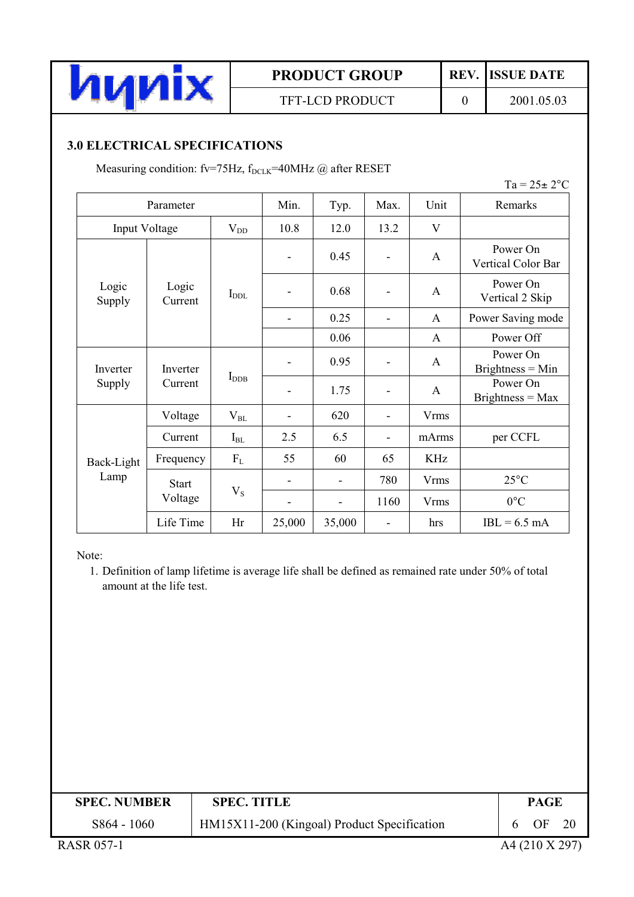

### TFT-LCD PRODUCT

REV. **ISSUE DATE** 

 $\mathbf{0}$ 

2001.05.03

# **3.0 ELECTRICAL SPECIFICATIONS**

Measuring condition: fv=75Hz, f<sub>DCLK</sub>=40MHz @ after RESET

| $Ta = 25 \pm 2$ °C |                     |          |                   |        |      |             |                                |  |  |  |                  |  |      |  |   |
|--------------------|---------------------|----------|-------------------|--------|------|-------------|--------------------------------|--|--|--|------------------|--|------|--|---|
|                    | Parameter           |          | Min.              | Typ.   | Max. | Unit        | Remarks                        |  |  |  |                  |  |      |  |   |
| Input Voltage      |                     | $V_{DD}$ | 10.8              | 12.0   | 13.2 | V           |                                |  |  |  |                  |  |      |  |   |
|                    |                     |          |                   | 0.45   |      | A           | Power On<br>Vertical Color Bar |  |  |  |                  |  |      |  |   |
| Logic<br>Supply    | Logic<br>Current    |          |                   | 0.68   |      | A           | Power On<br>Vertical 2 Skip    |  |  |  |                  |  |      |  |   |
|                    |                     |          |                   | 0.25   |      | A           | Power Saving mode              |  |  |  |                  |  |      |  |   |
|                    |                     |          |                   | 0.06   |      | A           | Power Off                      |  |  |  |                  |  |      |  |   |
| Inverter           | Inverter<br>Current |          |                   | 0.95   |      | A           | Power On<br>$Brighness = Min$  |  |  |  |                  |  |      |  |   |
| Supply             |                     |          |                   |        |      |             |                                |  |  |  | $I_{\text{DDB}}$ |  | 1.75 |  | A |
|                    | Voltage             | $V_{BL}$ | $\qquad \qquad -$ | 620    | ÷,   | <b>Vrms</b> |                                |  |  |  |                  |  |      |  |   |
|                    | Current             | $I_{BL}$ | 2.5               | 6.5    |      | mArms       | per CCFL                       |  |  |  |                  |  |      |  |   |
| Back-Light         | Frequency           | $F_L$    | 55                | 60     | 65   | <b>KHz</b>  |                                |  |  |  |                  |  |      |  |   |
| Lamp               | <b>Start</b>        |          |                   |        | 780  | <b>Vrms</b> | $25^{\circ}$ C                 |  |  |  |                  |  |      |  |   |
|                    | Voltage             | $V_{S}$  |                   |        | 1160 | <b>Vrms</b> | $0^{\circ}C$                   |  |  |  |                  |  |      |  |   |
|                    | Life Time           | Hr       | 25,000            | 35,000 | -    | hrs         | $IBL = 6.5$ mA                 |  |  |  |                  |  |      |  |   |

Note:

1. Definition of lamp lifetime is average life shall be defined as remained rate under 50% of total amount at the life test.

| <b>SPEC. NUMBER</b>  | <b>SPEC. TITLE</b>                          | <b>PAGE</b> |    |
|----------------------|---------------------------------------------|-------------|----|
| S864 - 1060          | HM15X11-200 (Kingoal) Product Specification | ΩE          | 20 |
| $P1 \cap T2 \cap T3$ |                                             |             |    |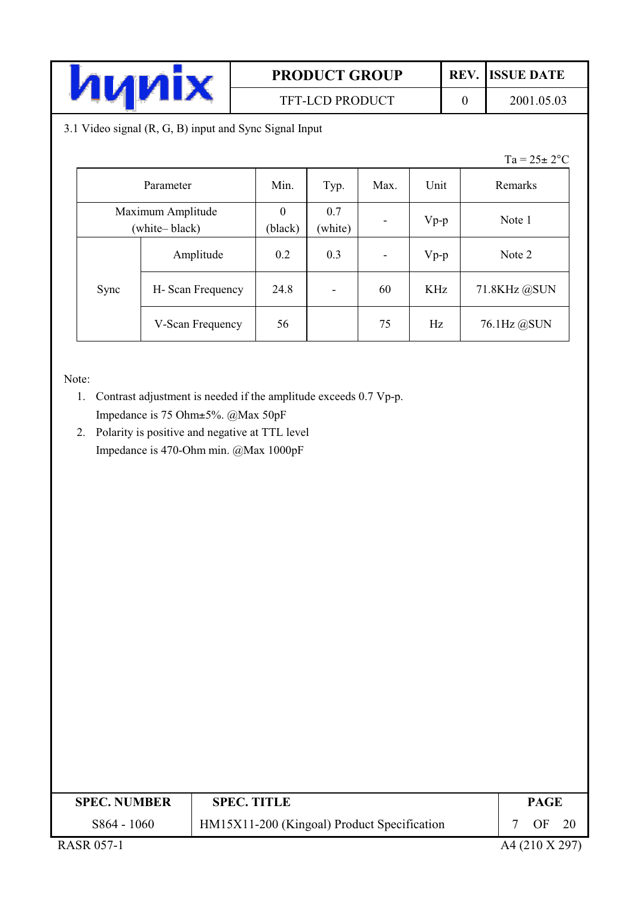

# TFT-LCD PRODUCT

**ISSUE DATE** 

REV.

 $\overline{0}$ 

2001.05.03

3.1 Video signal (R, G, B) input and Sync Signal Input

 $Ta = 25 \pm 2$ °C

| Parameter                          |                  | Min.                | Typ.                     | Max.                     | Unit   | Remarks      |
|------------------------------------|------------------|---------------------|--------------------------|--------------------------|--------|--------------|
| Maximum Amplitude<br>(white-black) |                  | $\theta$<br>(black) | 0.7<br>(white)           | $\overline{\phantom{a}}$ | $Vp-p$ | Note 1       |
|                                    | Amplitude        | 0.2                 | 0.3                      | $\overline{\phantom{a}}$ | $Vp-p$ | Note 2       |
| Sync                               | H-Scan Frequency | 24.8                | $\overline{\phantom{a}}$ | 60                       | KHz    | 71.8KHz @SUN |
|                                    | V-Scan Frequency | 56                  |                          | 75                       | Hz     | 76.1Hz @SUN  |

Note:

- 1. Contrast adjustment is needed if the amplitude exceeds 0.7 Vp-p. Impedance is 75 Ohm±5%. @Max 50pF
- 2. Polarity is positive and negative at TTL level Impedance is 470-Ohm min. @Max 1000pF

| <b>SPEC. NUMBER</b>                                     | <b>SPEC. TITLE</b>                          | <b>PAGE</b>                         |     |
|---------------------------------------------------------|---------------------------------------------|-------------------------------------|-----|
| S864 - 1060                                             | HM15X11-200 (Kingoal) Product Specification | OF                                  | -20 |
| $\sim$ $\sim$ $\sim$ $\sim$ $\sim$ $\sim$ $\sim$ $\sim$ |                                             | $\cdots$ $\cdots$ $\cdots$ $\cdots$ |     |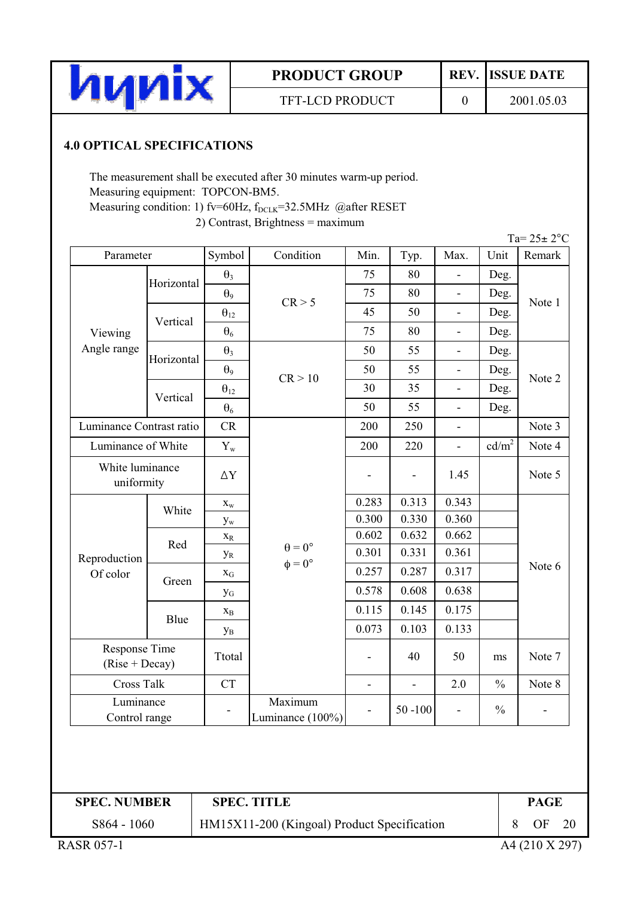

TFT-LCD PRODUCT

REV. **ISSUE DATE** 

 $\overline{0}$ 

2001.05.03

# **4.0 OPTICAL SPECIFICATIONS**

The measurement shall be executed after 30 minutes warm-up period. Measuring equipment: TOPCON-BM5. Measuring condition: 1) fv=60Hz, f<sub>DCLK</sub>=32.5MHz @after RESET 2) Contrast, Brightness = maximum

| Parameter                                       |            | Symbol                    | Condition                              | Min.          |                              | Max.                     | Unit              | Ta= $25 \pm 2$ °C<br>Remark |
|-------------------------------------------------|------------|---------------------------|----------------------------------------|---------------|------------------------------|--------------------------|-------------------|-----------------------------|
|                                                 |            |                           |                                        | 75            | Typ.<br>80                   |                          |                   |                             |
|                                                 | Horizontal | $\theta_3$                |                                        | 75            | 80                           |                          | Deg.              | Note 1                      |
|                                                 |            | $\theta$ <sup>9</sup>     | CR > 5                                 | 45            | 50                           | $\overline{\phantom{a}}$ | Deg.              |                             |
|                                                 | Vertical   | $\theta_{12}$             |                                        |               |                              | $\overline{\phantom{a}}$ | Deg.              |                             |
| Viewing<br>Angle range                          |            | $\theta_6$                |                                        | 75            | 80                           | $\overline{\phantom{a}}$ | Deg.              |                             |
|                                                 | Horizontal | $\theta_3$                |                                        | 50            | 55                           | $\overline{\phantom{a}}$ | Deg.              |                             |
|                                                 |            | $\theta$ <sup>9</sup>     | CR > 10                                | 50            | 55                           | $\overline{\phantom{a}}$ | Deg.              | Note 2                      |
|                                                 | Vertical   | $\theta_{12}$             |                                        | 30            | 35                           | $\blacksquare$           | Deg.              |                             |
|                                                 |            | $\theta_6$                |                                        | 50            | 55                           | $\overline{\phantom{a}}$ | Deg.              |                             |
| Luminance Contrast ratio                        |            | CR                        |                                        | 200           | 250                          | $\overline{\phantom{a}}$ |                   | Note 3                      |
| Luminance of White                              |            | $Y_{w}$                   |                                        | 200           | 220                          | $\overline{\phantom{a}}$ | cd/m <sup>2</sup> | Note 4                      |
| White luminance<br>uniformity                   |            | $\Delta \rm Y$            |                                        |               | $\qquad \qquad \blacksquare$ | 1.45                     |                   | Note 5                      |
|                                                 | White      | $\mathbf{X}_\mathbf{W}$   | $\theta=0^\circ$<br>$\phi = 0^{\circ}$ | 0.283         | 0.313                        | 0.343                    |                   |                             |
|                                                 |            | $\mathbf{y}_{\mathrm{w}}$ |                                        | 0.300         | 0.330                        | 0.360                    |                   |                             |
|                                                 | Red        | $X_R$                     |                                        | 0.602         | 0.632                        | 0.662                    |                   |                             |
| Reproduction                                    |            | $y_R$                     |                                        | 0.301         | 0.331                        | 0.361                    |                   |                             |
| Of color                                        | Green      | $X_G$                     |                                        | 0.257         | 0.287                        | 0.317                    |                   | Note 6                      |
|                                                 |            | $y_{G}$                   |                                        | 0.578         | 0.608                        | 0.638                    |                   |                             |
|                                                 | Blue       | $X_{B}$                   |                                        | 0.115         | 0.145                        | 0.175                    |                   |                             |
|                                                 |            | $y_B$                     |                                        | 0.073         | 0.103                        | 0.133                    |                   |                             |
| Response Time<br>$(Rise + Decay)$<br>Cross Talk |            | Ttotal                    |                                        |               | 40                           | 50                       | ms                | Note 7                      |
|                                                 |            | <b>CT</b>                 |                                        | $\frac{1}{2}$ | $\blacksquare$               | 2.0                      | $\frac{0}{0}$     | Note 8                      |
| Luminance<br>Control range                      |            |                           | Maximum<br>Luminance (100%)            |               | $50 - 100$                   | $\overline{\phantom{a}}$ | $\frac{0}{0}$     | -                           |

**SPEC. NUMBER** 

# **SPEC. TITLE**

**PAGE**  $OF$ 

20

8

S864 - 1060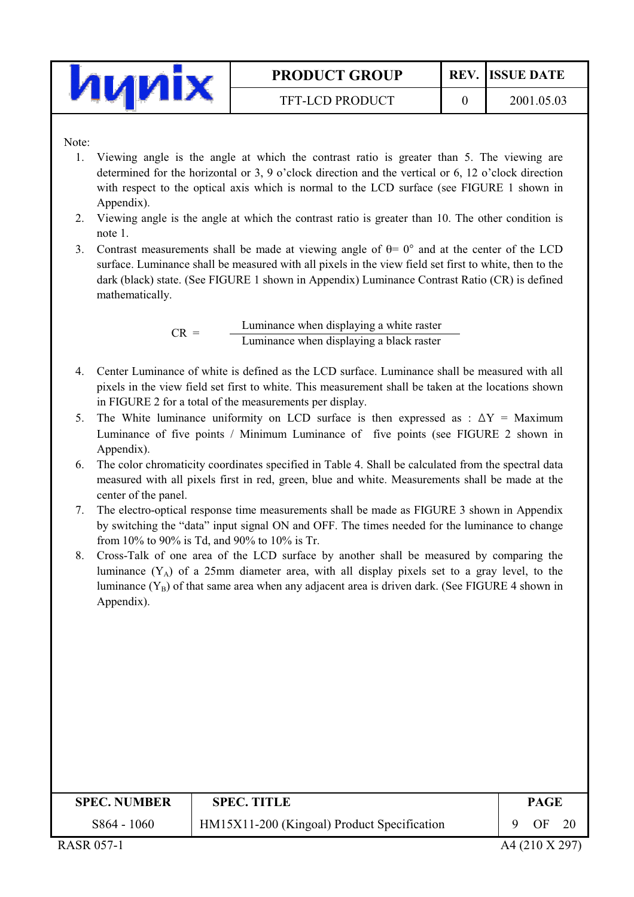

**TFT-LCD PRODUCT** 

 $\overline{0}$ 

Note:

- Viewing angle is the angle at which the contrast ratio is greater than 5. The viewing are 1. determined for the horizontal or 3, 9 o'clock direction and the vertical or 6, 12 o'clock direction with respect to the optical axis which is normal to the LCD surface (see FIGURE 1 shown in Appendix).
- 2. Viewing angle is the angle at which the contrast ratio is greater than 10. The other condition is note 1.
- 3. Contrast measurements shall be made at viewing angle of  $\theta = 0^{\circ}$  and at the center of the LCD surface. Luminance shall be measured with all pixels in the view field set first to white, then to the dark (black) state. (See FIGURE 1 shown in Appendix) Luminance Contrast Ratio (CR) is defined mathematically.

Luminance when displaying a white raster  $CR =$ Luminance when displaying a black raster

- 4. Center Luminance of white is defined as the LCD surface. Luminance shall be measured with all pixels in the view field set first to white. This measurement shall be taken at the locations shown in FIGURE 2 for a total of the measurements per display.
- 5. The White luminance uniformity on LCD surface is then expressed as :  $\Delta Y$  = Maximum Luminance of five points / Minimum Luminance of five points (see FIGURE 2 shown in Appendix).
- 6. The color chromaticity coordinates specified in Table 4. Shall be calculated from the spectral data measured with all pixels first in red, green, blue and white. Measurements shall be made at the center of the panel.
- 7. The electro-optical response time measurements shall be made as FIGURE 3 shown in Appendix by switching the "data" input signal ON and OFF. The times needed for the luminance to change from 10% to 90% is Td, and 90% to 10% is Tr.
- 8. Cross-Talk of one area of the LCD surface by another shall be measured by comparing the luminance  $(Y_A)$  of a 25mm diameter area, with all display pixels set to a gray level, to the luminance  $(Y_B)$  of that same area when any adjacent area is driven dark. (See FIGURE 4 shown in Appendix).

| <b>SPEC. NUMBER</b> | <b>SPEC. TITLE</b>                          | <b>PAGE</b> |
|---------------------|---------------------------------------------|-------------|
| S864 - 1060         | HM15X11-200 (Kingoal) Product Specification | OΕ<br>20    |
|                     |                                             |             |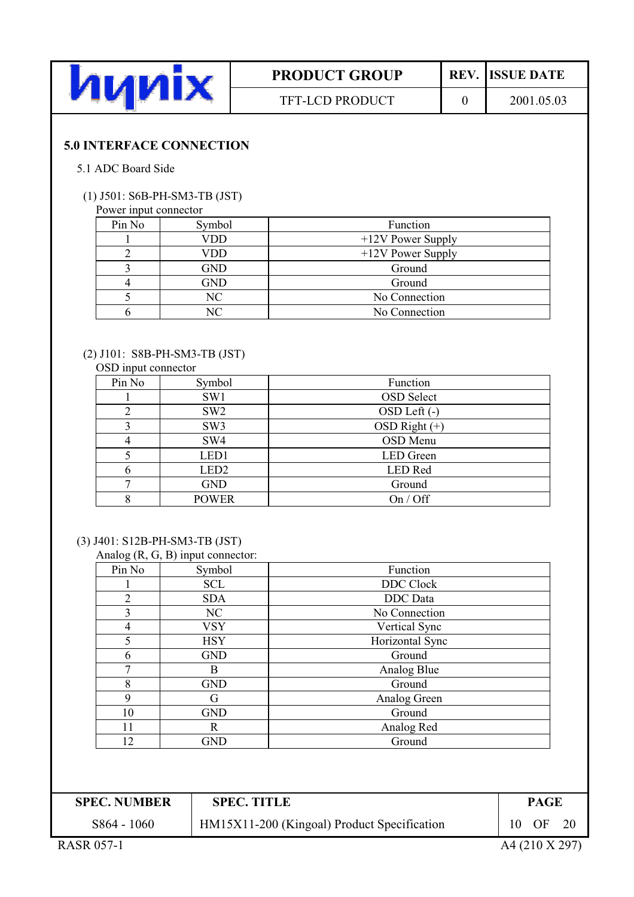

**REV.** ISSUE DATE

 $\overline{0}$ 

### **5.0 INTERFACE CONNECTION**

#### 5.1 ADC Board Side

#### (1) J501: S6B-PH-SM3-TB (JST)

#### Power input connector

| Pin No | Symbol     | Function            |
|--------|------------|---------------------|
|        | <b>VDD</b> | $+12V$ Power Supply |
|        | <b>VDD</b> | $+12V$ Power Supply |
|        | <b>GND</b> | Ground              |
|        | <b>GND</b> | Ground              |
|        | NC         | No Connection       |
|        | NС         | No Connection       |

#### (2) J101: S8B-PH-SM3-TB (JST)

#### OSD input connector

| Pin No | Symbol           | Function          |
|--------|------------------|-------------------|
|        | SW1              | <b>OSD</b> Select |
|        | SW <sub>2</sub>  | OSD Left (-)      |
|        | SW <sub>3</sub>  | OSD Right $(+)$   |
|        | SW <sub>4</sub>  | OSD Menu          |
|        | LED1             | <b>LED</b> Green  |
|        | LED <sub>2</sub> | LED Red           |
|        | <b>GND</b>       | Ground            |
|        | <b>POWER</b>     | On / Off          |

#### (3) J401: S12B-PH-SM3-TB (JST)

|  | Analog $(R, G, B)$ input connector: |
|--|-------------------------------------|
|  |                                     |

|        | $\frac{1}{2}$ mato <sub>b</sub> $\left(1, 0, 0, 1\right)$ mpat connection. |                  |
|--------|----------------------------------------------------------------------------|------------------|
| Pin No | Symbol                                                                     | Function         |
|        | <b>SCL</b>                                                                 | <b>DDC</b> Clock |
| 2      | <b>SDA</b>                                                                 | DDC Data         |
| 3      | NC                                                                         | No Connection    |
|        | <b>VSY</b>                                                                 | Vertical Sync    |
| 5      | <b>HSY</b>                                                                 | Horizontal Sync  |
| 6      | <b>GND</b>                                                                 | Ground           |
|        | B                                                                          | Analog Blue      |
| 8      | <b>GND</b>                                                                 | Ground           |
| 9      | G                                                                          | Analog Green     |
| 10     | <b>GND</b>                                                                 | Ground           |
| 11     | R                                                                          | Analog Red       |
| 12     | <b>GND</b>                                                                 | Ground           |

| <b>SPEC. NUMBER</b> | <b>SPEC. TITLE</b>                          |     | <b>PAGE</b> |  |
|---------------------|---------------------------------------------|-----|-------------|--|
| S864 - 1060         | HM15X11-200 (Kingoal) Product Specification | 10. | OF          |  |
|                     |                                             |     |             |  |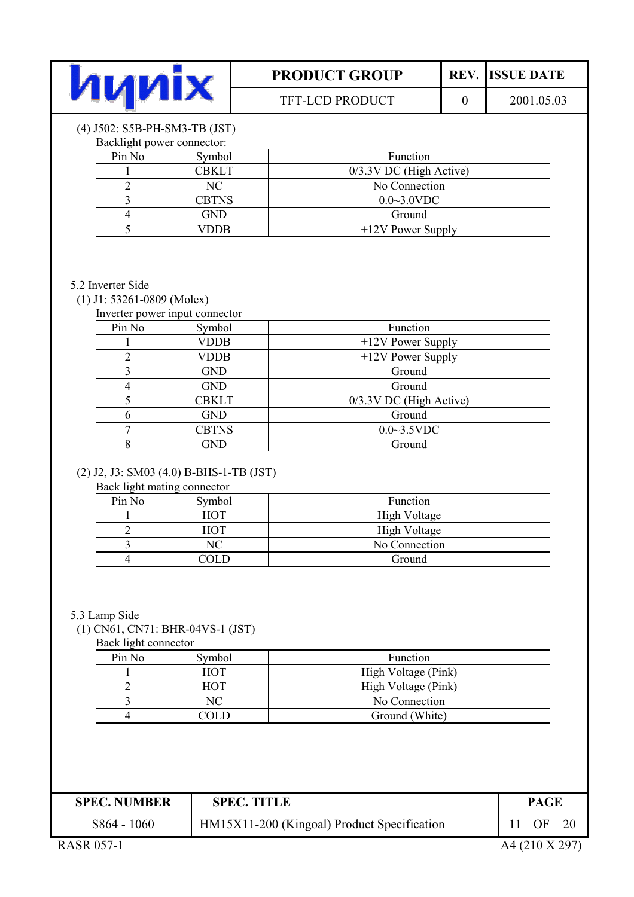

### TFT-LCD PRODUCT

**REV.** ISSUE DATE

 $\overline{0}$ 

#### (4) J502: S5B-PH-SM3-TB (JST)  $\sim$   $\sim$   $\sim$

|        | Backlight power connector: |                           |
|--------|----------------------------|---------------------------|
| Pin No | Symbol                     | Function                  |
|        | <b>CBKLT</b>               | $0/3.3V$ DC (High Active) |
|        | NC.                        | No Connection             |
|        | <b>CBTNS</b>               | $0.0 \sim 3.0$ VDC        |
|        | <b>GND</b>                 | Ground                    |
|        | VDDB                       | +12V Power Supply         |

#### 5.2 Inverter Side

#### $(1)$  J1: 53261-0809 (Molex)

| Inverter power input connector |              |                         |  |  |
|--------------------------------|--------------|-------------------------|--|--|
| Pin No                         | Symbol       | Function                |  |  |
|                                | <b>VDDB</b>  | $+12V$ Power Supply     |  |  |
|                                | <b>VDDB</b>  | $+12V$ Power Supply     |  |  |
|                                | <b>GND</b>   | Ground                  |  |  |
|                                | <b>GND</b>   | Ground                  |  |  |
|                                | <b>CBKLT</b> | 0/3.3V DC (High Active) |  |  |
| n                              | <b>GND</b>   | Ground                  |  |  |
|                                | <b>CBTNS</b> | $0.0 - 3.5$ VDC         |  |  |
| o                              | <b>GND</b>   | Ground                  |  |  |

### (2) J2, J3: SM03 (4.0) B-BHS-1-TB (JST)

#### Back light mating connector

| ັ<br>Pin No | Symbol     | Function      |
|-------------|------------|---------------|
|             | HOT        | High Voltage  |
|             | <b>HOT</b> | High Voltage  |
|             | NС         | No Connection |
|             |            | Ground        |

#### 5.3 Lamp Side

(1) CN61, CN71: BHR-04VS-1 (JST)

Back light connector

| Pin No | Symbol     | Function            |  |
|--------|------------|---------------------|--|
|        | <b>HOT</b> | High Voltage (Pink) |  |
|        | <b>HOT</b> | High Voltage (Pink) |  |
|        | NС         | No Connection       |  |
|        |            | Ground (White)      |  |

| <b>SPEC. NUMBER</b><br><b>SPEC. TITLE</b>                  | <b>PAGE</b> |  |
|------------------------------------------------------------|-------------|--|
| HM15X11-200 (Kingoal) Product Specification<br>S864 - 1060 | OF          |  |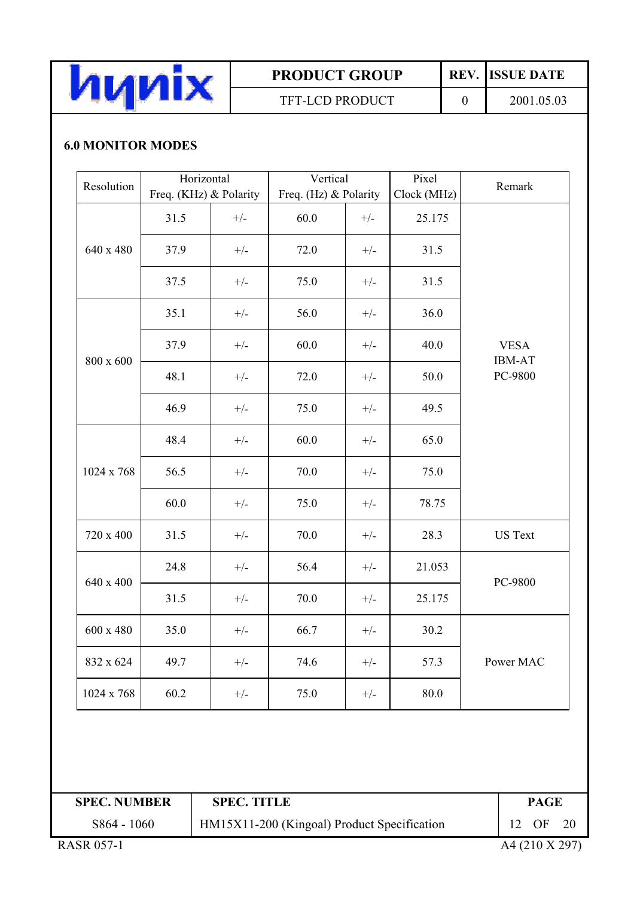

TFT-LCD PRODUCT

**REV.** ISSUE DATE

 $\overline{0}$ 

2001.05.03

# **6.0 MONITOR MODES**

| Resolution | Horizontal<br>Freq. (KHz) & Polarity |       | Vertical<br>Freq. (Hz) & Polarity |       | Pixel<br>Clock (MHz) | Remark                       |
|------------|--------------------------------------|-------|-----------------------------------|-------|----------------------|------------------------------|
|            | 31.5                                 | $+/-$ | 60.0                              | $+/-$ | 25.175               |                              |
| 640 x 480  | 37.9                                 | $+/-$ | 72.0                              | $+/-$ | 31.5                 |                              |
|            | 37.5                                 | $+/-$ | 75.0                              | $+/-$ | 31.5                 |                              |
|            | 35.1                                 | $+/-$ | 56.0                              | $+/-$ | 36.0                 |                              |
| 800 x 600  | 37.9                                 | $+/-$ | 60.0                              | $+/-$ | 40.0                 | <b>VESA</b><br><b>IBM-AT</b> |
|            | 48.1                                 | $+/-$ | 72.0                              | $+/-$ | 50.0                 | PC-9800                      |
|            | 46.9                                 | $+/-$ | 75.0                              | $+/-$ | 49.5                 |                              |
|            | 48.4                                 | $+/-$ | 60.0                              | $+/-$ | 65.0                 |                              |
| 1024 x 768 | 56.5                                 | $+/-$ | 70.0                              | $+/-$ | 75.0                 |                              |
|            | 60.0                                 | $+/-$ | 75.0                              | $+/-$ | 78.75                |                              |
| 720 x 400  | 31.5                                 | $+/-$ | 70.0                              | $+/-$ | 28.3                 | <b>US Text</b>               |
| 640 x 400  | 24.8                                 | $+/-$ | 56.4                              | $+/-$ | 21.053               | PC-9800                      |
|            | 31.5                                 | $+/-$ | 70.0                              | $+/-$ | 25.175               |                              |
| 600 x 480  | 35.0                                 | $+/-$ | 66.7                              | $+/-$ | 30.2                 |                              |
| 832 x 624  | 49.7                                 | $+/-$ | 74.6                              | $+/-$ | 57.3                 | Power MAC                    |
| 1024 x 768 | 60.2                                 | $+/-$ | 75.0                              | $+/-$ | 80.0                 |                              |

| <b>SPEC. NUMBER</b> | <b>SPEC. TITLE</b>                          |                 | PAGE            |     |
|---------------------|---------------------------------------------|-----------------|-----------------|-----|
| S864 - 1060         | HM15X11-200 (Kingoal) Product Specification | 12 <sup>7</sup> | $\overline{OF}$ | -20 |
| . <i>. .</i>        |                                             |                 |                 |     |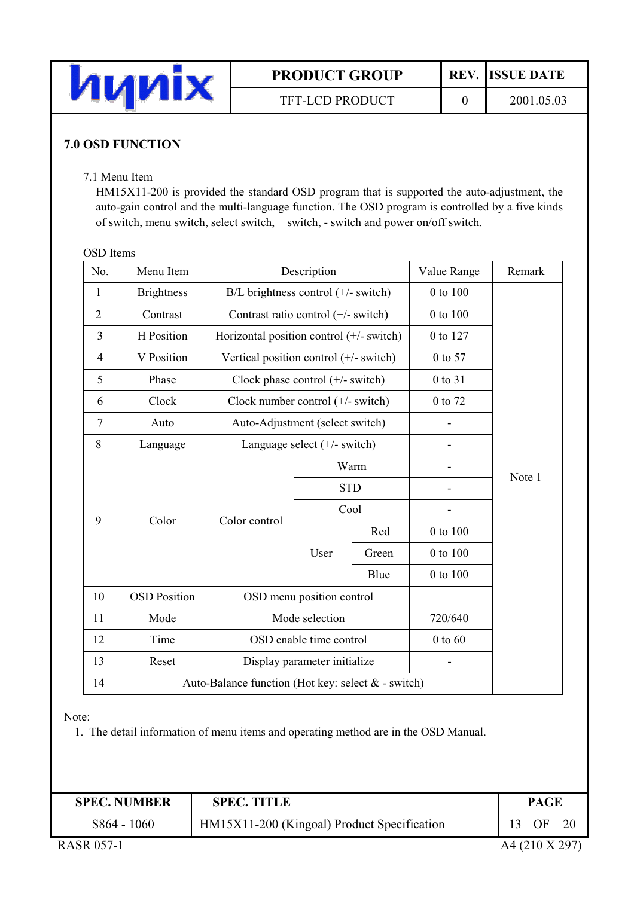

TFT-LCD PRODUCT

2001.05.03

### **7.0 OSD FUNCTION**

#### 7.1 Menu Item

HM15X11-200 is provided the standard OSD program that is supported the auto-adjustment, the auto-gain control and the multi-language function. The OSD program is controlled by a five kinds of switch, menu switch, select switch, + switch, - switch and power on/off switch.

#### **OSD** Items

| No.            | Menu Item                                          | Description                              |                                 |      | Value Range | Remark |          |        |
|----------------|----------------------------------------------------|------------------------------------------|---------------------------------|------|-------------|--------|----------|--------|
| 1              | <b>Brightness</b>                                  | $B/L$ brightness control ( $+/-$ switch) |                                 |      | 0 to 100    |        |          |        |
| $\overline{2}$ | Contrast                                           | Contrast ratio control (+/- switch)      |                                 |      | 0 to 100    |        |          |        |
| $\overline{3}$ | H Position                                         | Horizontal position control (+/- switch) |                                 |      | 0 to 127    |        |          |        |
| $\overline{4}$ | V Position                                         | Vertical position control (+/- switch)   |                                 |      | 0 to 57     |        |          |        |
| 5              | Phase                                              | Clock phase control $(+/-$ switch)       |                                 |      | 0 to 31     |        |          |        |
| 6              | Clock                                              | Clock number control $(+/-$ switch)      |                                 |      | 0 to 72     |        |          |        |
| $\tau$         | Auto                                               |                                          | Auto-Adjustment (select switch) |      |             |        |          |        |
| 8              | Language                                           | Language select $(+/-$ switch)           |                                 |      |             |        |          |        |
|                | Color<br>Color control                             |                                          |                                 |      |             | Warm   |          |        |
|                |                                                    |                                          |                                 |      | <b>STD</b>  |        |          | Note 1 |
|                |                                                    |                                          |                                 | Cool |             |        |          |        |
| 9              |                                                    |                                          |                                 | Red  | 0 to 100    |        |          |        |
|                |                                                    |                                          |                                 |      | User        | Green  | 0 to 100 |        |
|                |                                                    |                                          |                                 | Blue | 0 to 100    |        |          |        |
| 10             | <b>OSD Position</b>                                | OSD menu position control                |                                 |      |             |        |          |        |
| 11             | Mode                                               | Mode selection                           |                                 |      | 720/640     |        |          |        |
| 12             | Time                                               | OSD enable time control                  |                                 |      | $0$ to $60$ |        |          |        |
| 13             | Reset                                              | Display parameter initialize             |                                 |      |             |        |          |        |
| 14             | Auto-Balance function (Hot key: select & - switch) |                                          |                                 |      |             |        |          |        |

Note:

1. The detail information of menu items and operating method are in the OSD Manual.

| <b>SPEC. NUMBER</b>     | <b>SPEC. TITLE</b>                          |  | PAGE |     |
|-------------------------|---------------------------------------------|--|------|-----|
| S864 - 1060             | HM15X11-200 (Kingoal) Product Specification |  | OF.  | -20 |
| .<br>. . <i>.</i> _ _ . |                                             |  |      |     |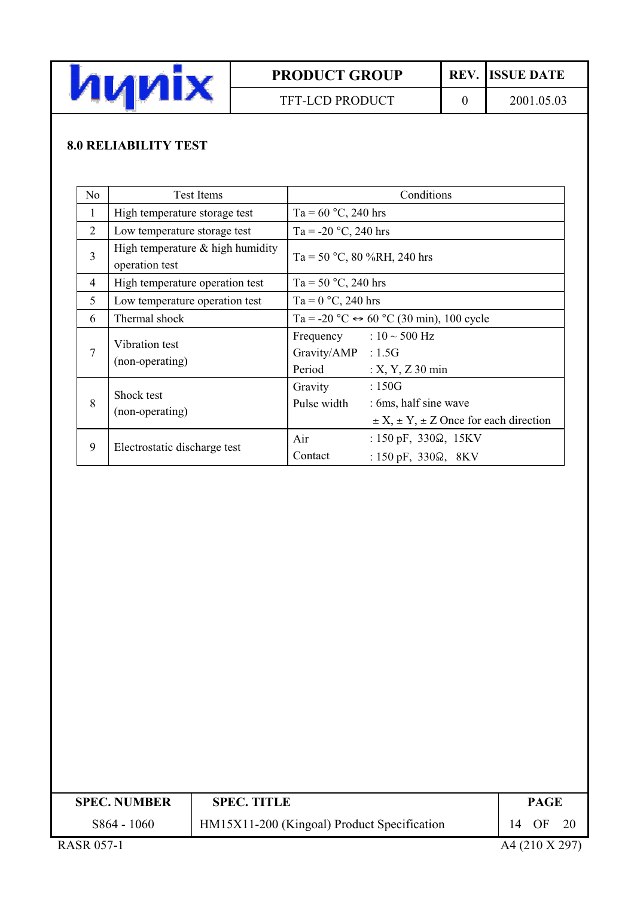

TFT-LCD PRODUCT

REV. ISSUE DATE

 $\overline{0}$ 

# **8.0 RELIABILITY TEST**

| N <sub>o</sub> | <b>Test Items</b>                                    | Conditions                                                                                                             |
|----------------|------------------------------------------------------|------------------------------------------------------------------------------------------------------------------------|
| $\mathbf{1}$   | High temperature storage test                        | Ta = $60^{\circ}$ C, 240 hrs                                                                                           |
| 2              | Low temperature storage test                         | Ta = -20 $^{\circ}$ C, 240 hrs                                                                                         |
| $\overline{3}$ | High temperature $&$ high humidity<br>operation test | Ta = 50 °C, 80 %RH, 240 hrs                                                                                            |
| 4              | High temperature operation test                      | Ta = 50 $^{\circ}$ C, 240 hrs                                                                                          |
| 5              | Low temperature operation test                       | Ta = $0^{\circ}$ C, 240 hrs                                                                                            |
| 6              | Thermal shock                                        | Ta = -20 °C $\leftrightarrow$ 60 °C (30 min), 100 cycle                                                                |
| 7              | Vibration test<br>(non-operating)                    | Frequency : $10 \sim 500$ Hz<br>Gravity/AMP : 1.5G<br>Period<br>$: X, Y, Z$ 30 min                                     |
| 8              | Shock test<br>(non-operating)                        | :150G<br>Gravity<br>Pulse width<br>: 6ms, half sine wave<br>$\pm X$ , $\pm Y$ , $\pm Z$ Once for each direction        |
| 9              | Electrostatic discharge test                         | Air<br>: $150 \text{ pF}$ , $330\Omega$ , $15 \text{KV}$<br>Contact<br>: $150 \text{ pF}$ , $330\Omega$ , $8\text{KV}$ |

| <b>SPEC. NUMBER</b>                                                                                                                                                                                                                                                                                          | <b>SPEC. TITLE</b>                          | <b>PAGE</b> |
|--------------------------------------------------------------------------------------------------------------------------------------------------------------------------------------------------------------------------------------------------------------------------------------------------------------|---------------------------------------------|-------------|
| S864 - 1060                                                                                                                                                                                                                                                                                                  | HM15X11-200 (Kingoal) Product Specification | 14 OF       |
| $P_{\rm A}$ $\cap$ $P_{\rm A}$ $\cap$ $P_{\rm A}$ $\cap$ $P_{\rm A}$ $\cap$ $P_{\rm A}$ $\cap$ $P_{\rm A}$ $\cap$ $P_{\rm A}$ $\cap$ $P_{\rm A}$ $\cap$ $P_{\rm A}$ $\cap$ $P_{\rm A}$ $\cap$ $P_{\rm A}$ $\cap$ $P_{\rm A}$ $\cap$ $P_{\rm A}$ $\cap$ $P_{\rm A}$ $\cap$ $P_{\rm A}$ $\cap$ $P_{\rm A}$ $\$ |                                             |             |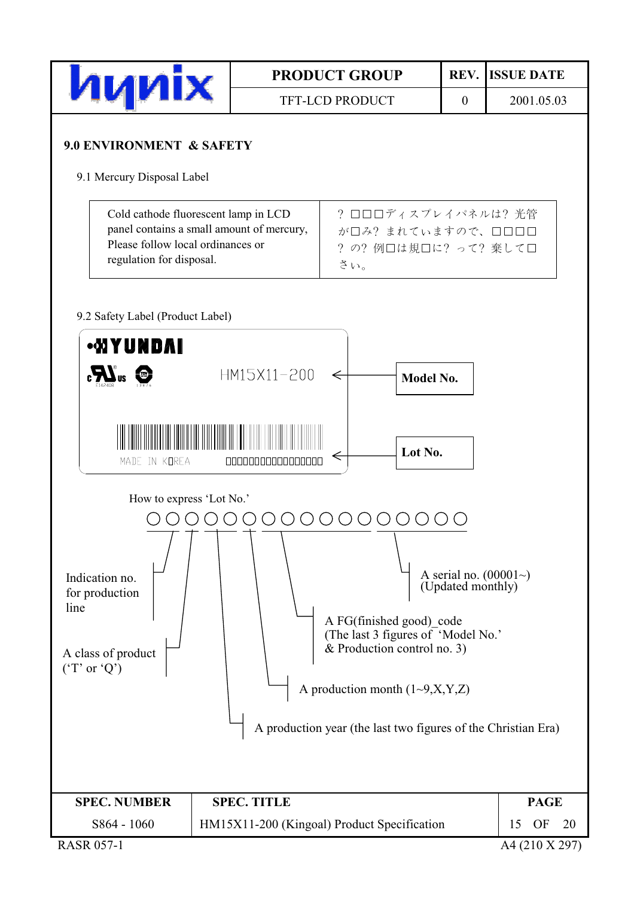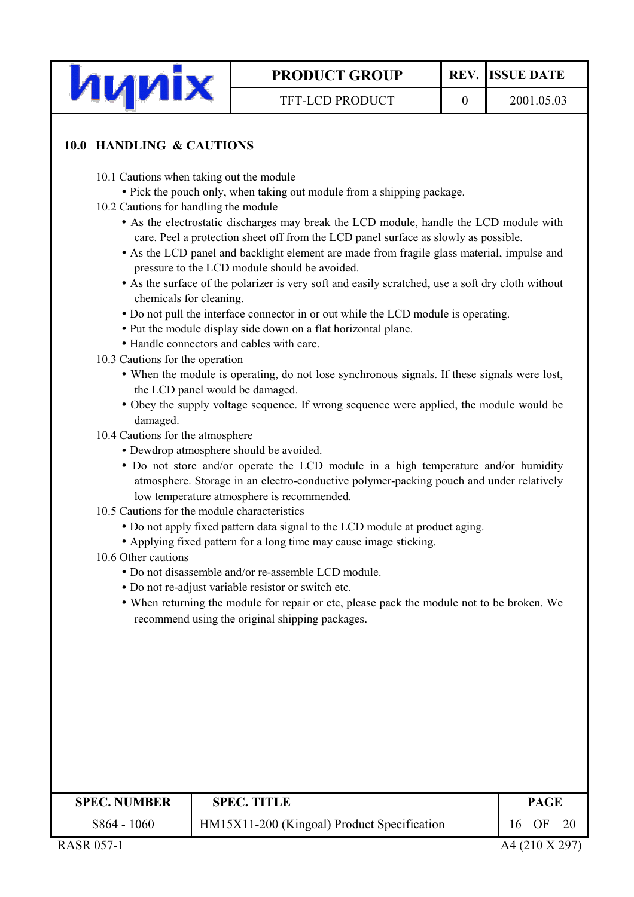

 $\overline{0}$ 

# **TFT-LCD PRODUCT**

### 10.0 HANDLING & CAUTIONS

- 10.1 Cautions when taking out the module
	- Pick the pouch only, when taking out module from a shipping package.
- 10.2 Cautions for handling the module
	- As the electrostatic discharges may break the LCD module, handle the LCD module with care. Peel a protection sheet off from the LCD panel surface as slowly as possible.
	- As the LCD panel and backlight element are made from fragile glass material, impulse and pressure to the LCD module should be avoided.
	- As the surface of the polarizer is very soft and easily scratched, use a soft dry cloth without chemicals for cleaning.
	- Do not pull the interface connector in or out while the LCD module is operating.
	- Put the module display side down on a flat horizontal plane.
	- Handle connectors and cables with care.
- 10.3 Cautions for the operation
	- When the module is operating, do not lose synchronous signals. If these signals were lost, the LCD panel would be damaged.
	- Obey the supply voltage sequence. If wrong sequence were applied, the module would be damaged.
- 10.4 Cautions for the atmosphere
	- Dewdrop atmosphere should be avoided.
	- Do not store and/or operate the LCD module in a high temperature and/or humidity atmosphere. Storage in an electro-conductive polymer-packing pouch and under relatively low temperature atmosphere is recommended.
- 10.5 Cautions for the module characteristics
	- Do not apply fixed pattern data signal to the LCD module at product aging.
	- Applying fixed pattern for a long time may cause image sticking.
- 10.6 Other cautions
	- $\bullet$  Do not disassemble and/or re-assemble LCD module
	- Do not re-adjust variable resistor or switch etc.
	- When returning the module for repair or etc, please pack the module not to be broken. We recommend using the original shipping packages.

| <b>SPEC. NUMBER</b>       | <b>SPEC. TITLE</b>                          | <b>PAGE</b> |  |  |
|---------------------------|---------------------------------------------|-------------|--|--|
| $S864 - 1060$             | HM15X11-200 (Kingoal) Product Specification | 16 OF       |  |  |
| . <i>. .</i><br>--- --- - |                                             |             |  |  |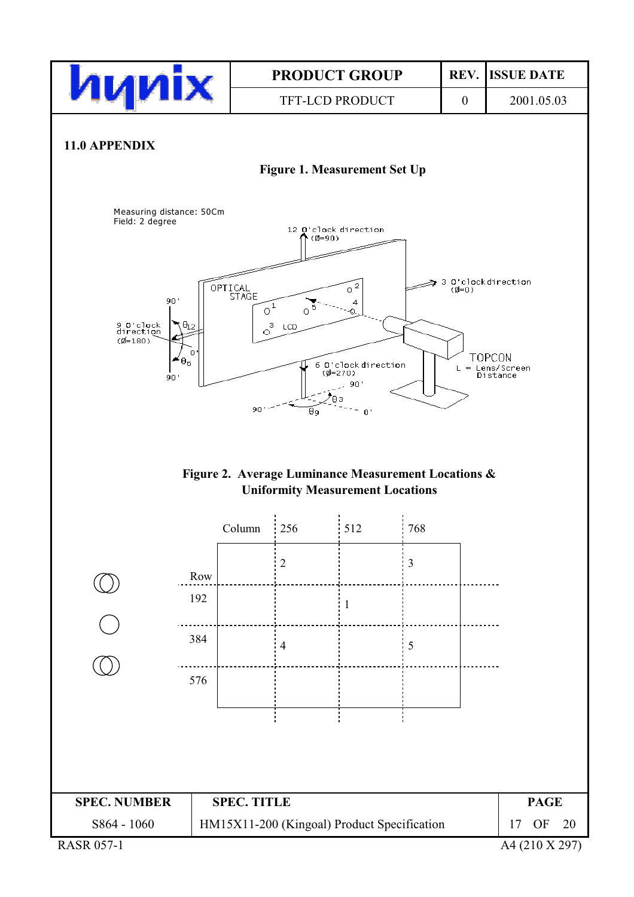

A4 (210 X 297)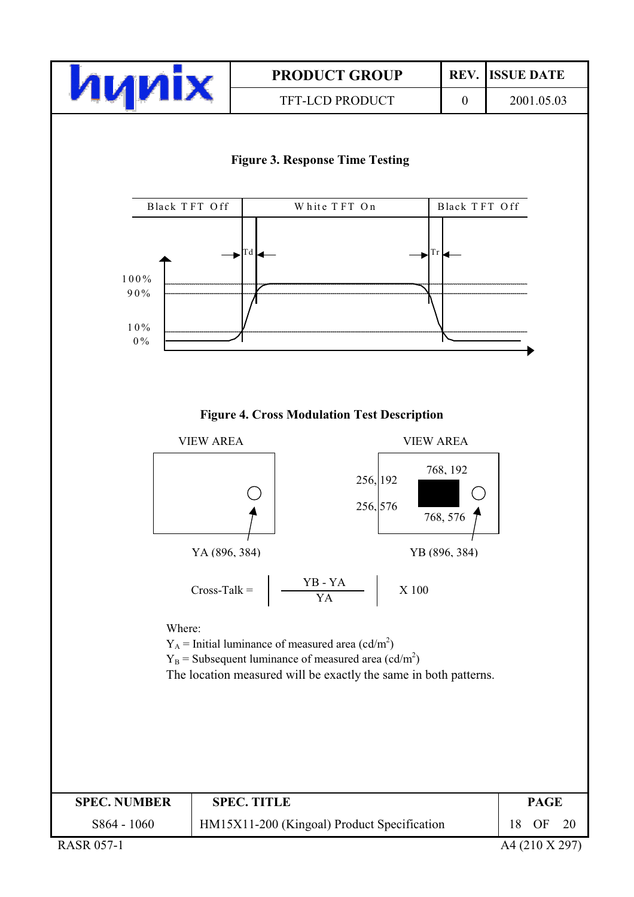

**TFT-LCD PRODUCT** 

**REV. ISSUE DATE** 

 $\overline{0}$ 

2001.05.03



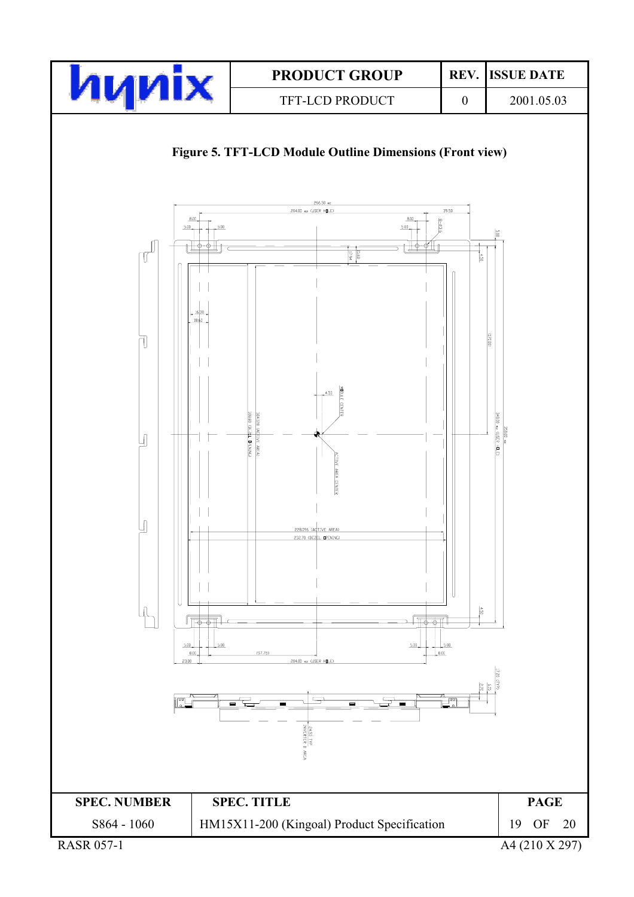